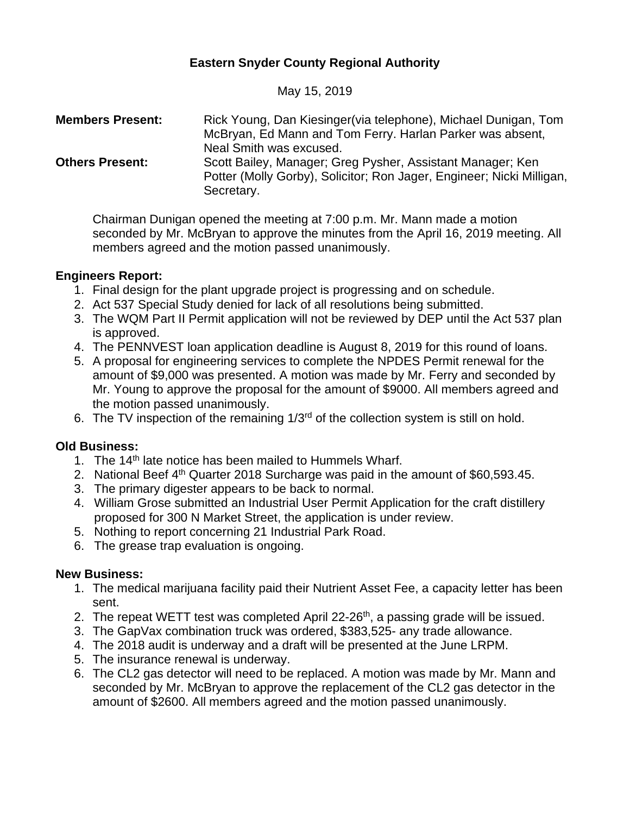# **Eastern Snyder County Regional Authority**

May 15, 2019

| <b>Members Present:</b> | Rick Young, Dan Kiesinger (via telephone), Michael Dunigan, Tom<br>McBryan, Ed Mann and Tom Ferry. Harlan Parker was absent,<br>Neal Smith was excused. |
|-------------------------|---------------------------------------------------------------------------------------------------------------------------------------------------------|
| <b>Others Present:</b>  | Scott Bailey, Manager; Greg Pysher, Assistant Manager; Ken<br>Potter (Molly Gorby), Solicitor; Ron Jager, Engineer; Nicki Milligan,<br>Secretary.       |

Chairman Dunigan opened the meeting at 7:00 p.m. Mr. Mann made a motion seconded by Mr. McBryan to approve the minutes from the April 16, 2019 meeting. All members agreed and the motion passed unanimously.

### **Engineers Report:**

- 1. Final design for the plant upgrade project is progressing and on schedule.
- 2. Act 537 Special Study denied for lack of all resolutions being submitted.
- 3. The WQM Part II Permit application will not be reviewed by DEP until the Act 537 plan is approved.
- 4. The PENNVEST loan application deadline is August 8, 2019 for this round of loans.
- 5. A proposal for engineering services to complete the NPDES Permit renewal for the amount of \$9,000 was presented. A motion was made by Mr. Ferry and seconded by Mr. Young to approve the proposal for the amount of \$9000. All members agreed and the motion passed unanimously.
- 6. The TV inspection of the remaining 1/3rd of the collection system is still on hold.

## **Old Business:**

- 1. The 14<sup>th</sup> late notice has been mailed to Hummels Wharf.
- 2. National Beef 4<sup>th</sup> Quarter 2018 Surcharge was paid in the amount of \$60,593.45.
- 3. The primary digester appears to be back to normal.
- 4. William Grose submitted an Industrial User Permit Application for the craft distillery proposed for 300 N Market Street, the application is under review.
- 5. Nothing to report concerning 21 Industrial Park Road.
- 6. The grease trap evaluation is ongoing.

### **New Business:**

- 1. The medical marijuana facility paid their Nutrient Asset Fee, a capacity letter has been sent.
- 2. The repeat WETT test was completed April 22-26<sup>th</sup>, a passing grade will be issued.
- 3. The GapVax combination truck was ordered, \$383,525- any trade allowance.
- 4. The 2018 audit is underway and a draft will be presented at the June LRPM.
- 5. The insurance renewal is underway.
- 6. The CL2 gas detector will need to be replaced. A motion was made by Mr. Mann and seconded by Mr. McBryan to approve the replacement of the CL2 gas detector in the amount of \$2600. All members agreed and the motion passed unanimously.